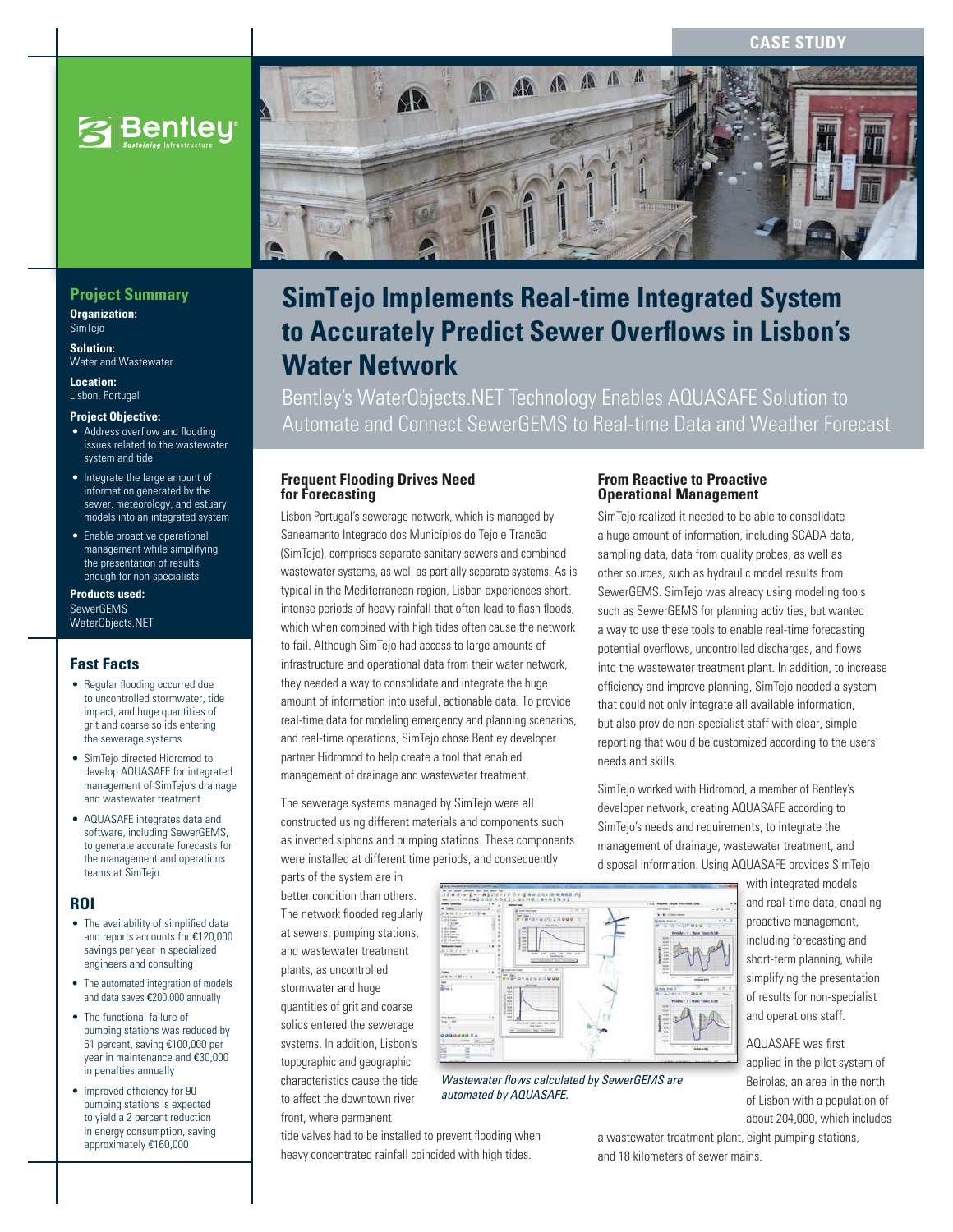**CASE STUD** 



## **Project Summary**

**Organization: SimTeio** 

**Solution:**  Water and Wastewater

**Location:**  Lisbon, Portugal

#### **Project Objective:**

- Address overflow and flooding issues related to the wastewater system and tide
- Integrate the large amount of information generated by the sewer, meteorology, and estuary models into an integrated system
- Enable proactive operational management while simplifying the presentation of results enough for non-specialists

#### **Products used:** SewerGEMS WaterObjects.NET

## **Fast Facts**

- Regular flooding occurred due to uncontrolled stormwater, tide impact, and huge quantities of grit and coarse solids entering the sewerage systems
- SimTejo directed Hidromod to develop AQUASAFE for integrated management of SimTejo's drainage and wastewater treatment
- AQUASAFE integrates data and software, including SewerGEMS, to generate accurate forecasts for the management and operations teams at SimTejo

#### **ROI**

- The availability of simplified data and reports accounts for €120,000 savings per year in specialized engineers and consulting
- The automated integration of models and data saves €200,000 annually
- The functional failure of pumping stations was reduced by 61 percent, saving €100,000 per year in maintenance and €30,000 in penalties annually
- Improved efficiency for 90 pumping stations is expected to yield a 2 percent reduction in energy consumption, saving approximately €160,000



# **SimTejo Implements Real-time Integrated System to Accurately Predict Sewer Overflows in Lisbon's Water Network**

Bentley's WaterObjects.NET Technology Enables AQUASAFE Solution to Automate and Connect SewerGEMS to Real-time Data and Weather Forecast

#### **Frequent Flooding Drives Need for Forecasting**

Lisbon Portugal's sewerage network, which is managed by Saneamento Integrado dos Municípios do Tejo e Trancão (SimTejo), comprises separate sanitary sewers and combined wastewater systems, as well as partially separate systems. As is typical in the Mediterranean region, Lisbon experiences short, intense periods of heavy rainfall that often lead to flash floods, which when combined with high tides often cause the network to fail. Although SimTejo had access to large amounts of infrastructure and operational data from their water network, they needed a way to consolidate and integrate the huge amount of information into useful, actionable data. To provide real-time data for modeling emergency and planning scenarios, and real-time operations, SimTejo chose Bentley developer partner Hidromod to help create a tool that enabled management of drainage and wastewater treatment.

The sewerage systems managed by SimTejo were all constructed using different materials and components such as inverted siphons and pumping stations. These components were installed at different time periods, and consequently

parts of the system are in better condition than others. The network flooded regularly at sewers, pumping stations, and wastewater treatment plants, as uncontrolled stormwater and huge quantities of grit and coarse solids entered the sewerage systems. In addition, Lisbon's topographic and geographic characteristics cause the tide to affect the downtown river front, where permanent



*Wastewater flows calculated by SewerGEMS are automated by AQUASAFE.*

tide valves had to be installed to prevent flooding when heavy concentrated rainfall coincided with high tides.

## **From Reactive to Proactive Operational Management**

SimTejo realized it needed to be able to consolidate a huge amount of information, including SCADA data, sampling data, data from quality probes, as well as other sources, such as hydraulic model results from SewerGEMS. SimTejo was already using modeling tools such as SewerGEMS for planning activities, but wanted a way to use these tools to enable real-time forecasting potential overflows, uncontrolled discharges, and flows into the wastewater treatment plant. In addition, to increase efficiency and improve planning, SimTejo needed a system that could not only integrate all available information, but also provide non-specialist staff with clear, simple reporting that would be customized according to the users' needs and skills.

SimTejo worked with Hidromod, a member of Bentley's developer network, creating AQUASAFE according to SimTejo's needs and requirements, to integrate the management of drainage, wastewater treatment, and disposal information. Using AQUASAFE provides SimTejo

> with integrated models and real-time data, enabling proactive management, including forecasting and short-term planning, while simplifying the presentation of results for non-specialist and operations staff.

AQUASAFE was first applied in the pilot system of Beirolas, an area in the north of Lisbon with a population of about 204,000, which includes

a wastewater treatment plant, eight pumping stations, and 18 kilometers of sewer mains.